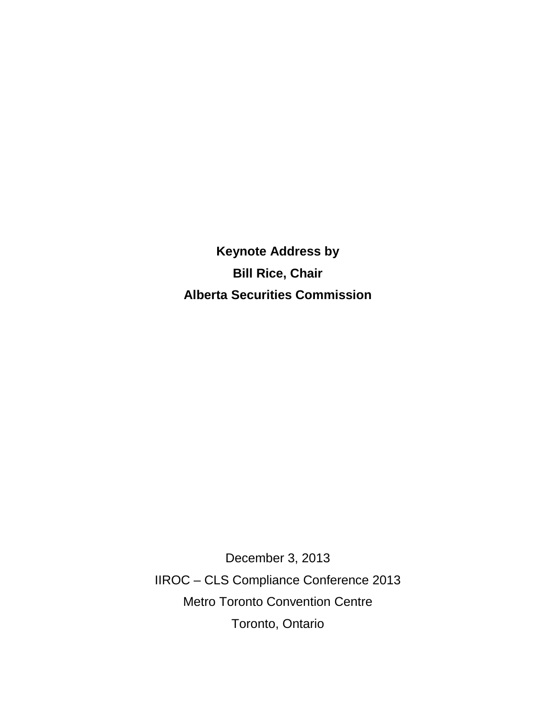**Keynote Address by Bill Rice, Chair Alberta Securities Commission**

December 3, 2013 IIROC – CLS Compliance Conference 2013 Metro Toronto Convention Centre Toronto, Ontario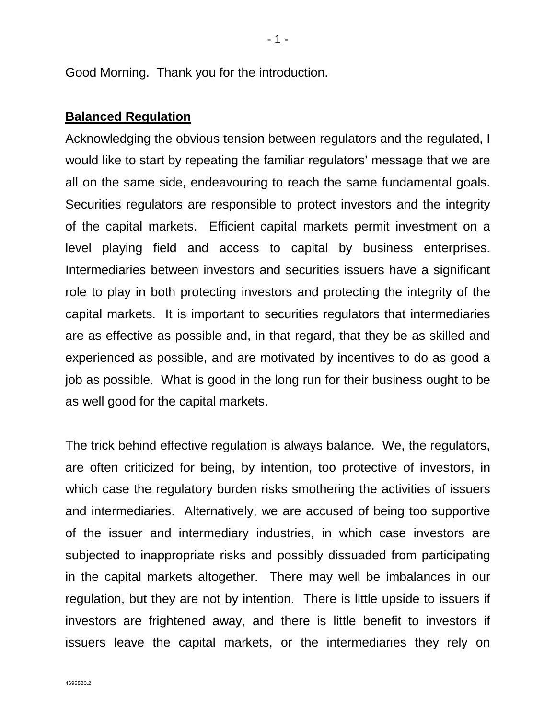Good Morning. Thank you for the introduction.

#### **Balanced Regulation**

Acknowledging the obvious tension between regulators and the regulated, I would like to start by repeating the familiar regulators' message that we are all on the same side, endeavouring to reach the same fundamental goals. Securities regulators are responsible to protect investors and the integrity of the capital markets. Efficient capital markets permit investment on a level playing field and access to capital by business enterprises. Intermediaries between investors and securities issuers have a significant role to play in both protecting investors and protecting the integrity of the capital markets. It is important to securities regulators that intermediaries are as effective as possible and, in that regard, that they be as skilled and experienced as possible, and are motivated by incentives to do as good a job as possible. What is good in the long run for their business ought to be as well good for the capital markets.

The trick behind effective regulation is always balance. We, the regulators, are often criticized for being, by intention, too protective of investors, in which case the regulatory burden risks smothering the activities of issuers and intermediaries. Alternatively, we are accused of being too supportive of the issuer and intermediary industries, in which case investors are subjected to inappropriate risks and possibly dissuaded from participating in the capital markets altogether. There may well be imbalances in our regulation, but they are not by intention. There is little upside to issuers if investors are frightened away, and there is little benefit to investors if issuers leave the capital markets, or the intermediaries they rely on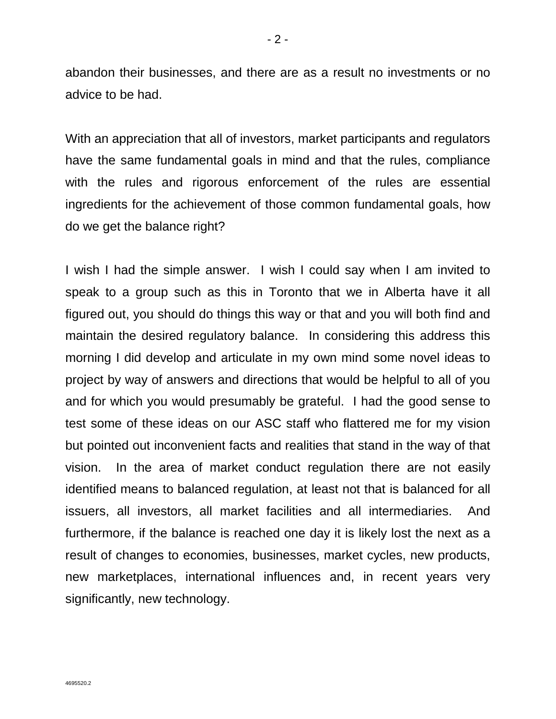abandon their businesses, and there are as a result no investments or no advice to be had.

With an appreciation that all of investors, market participants and regulators have the same fundamental goals in mind and that the rules, compliance with the rules and rigorous enforcement of the rules are essential ingredients for the achievement of those common fundamental goals, how do we get the balance right?

I wish I had the simple answer. I wish I could say when I am invited to speak to a group such as this in Toronto that we in Alberta have it all figured out, you should do things this way or that and you will both find and maintain the desired regulatory balance. In considering this address this morning I did develop and articulate in my own mind some novel ideas to project by way of answers and directions that would be helpful to all of you and for which you would presumably be grateful. I had the good sense to test some of these ideas on our ASC staff who flattered me for my vision but pointed out inconvenient facts and realities that stand in the way of that vision. In the area of market conduct regulation there are not easily identified means to balanced regulation, at least not that is balanced for all issuers, all investors, all market facilities and all intermediaries. And furthermore, if the balance is reached one day it is likely lost the next as a result of changes to economies, businesses, market cycles, new products, new marketplaces, international influences and, in recent years very significantly, new technology.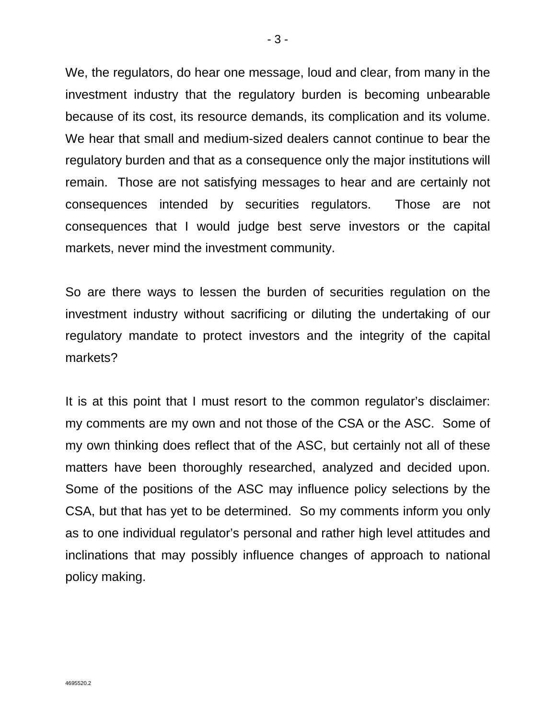We, the regulators, do hear one message, loud and clear, from many in the investment industry that the regulatory burden is becoming unbearable because of its cost, its resource demands, its complication and its volume. We hear that small and medium-sized dealers cannot continue to bear the regulatory burden and that as a consequence only the major institutions will remain. Those are not satisfying messages to hear and are certainly not consequences intended by securities regulators. Those are not consequences that I would judge best serve investors or the capital markets, never mind the investment community.

So are there ways to lessen the burden of securities regulation on the investment industry without sacrificing or diluting the undertaking of our regulatory mandate to protect investors and the integrity of the capital markets?

It is at this point that I must resort to the common regulator's disclaimer: my comments are my own and not those of the CSA or the ASC. Some of my own thinking does reflect that of the ASC, but certainly not all of these matters have been thoroughly researched, analyzed and decided upon. Some of the positions of the ASC may influence policy selections by the CSA, but that has yet to be determined. So my comments inform you only as to one individual regulator's personal and rather high level attitudes and inclinations that may possibly influence changes of approach to national policy making.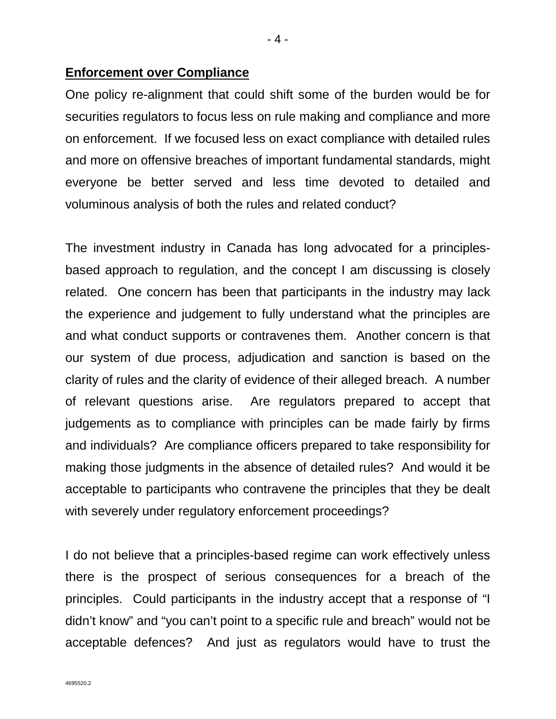### **Enforcement over Compliance**

One policy re-alignment that could shift some of the burden would be for securities regulators to focus less on rule making and compliance and more on enforcement. If we focused less on exact compliance with detailed rules and more on offensive breaches of important fundamental standards, might everyone be better served and less time devoted to detailed and voluminous analysis of both the rules and related conduct?

The investment industry in Canada has long advocated for a principlesbased approach to regulation, and the concept I am discussing is closely related. One concern has been that participants in the industry may lack the experience and judgement to fully understand what the principles are and what conduct supports or contravenes them. Another concern is that our system of due process, adjudication and sanction is based on the clarity of rules and the clarity of evidence of their alleged breach. A number of relevant questions arise. Are regulators prepared to accept that judgements as to compliance with principles can be made fairly by firms and individuals? Are compliance officers prepared to take responsibility for making those judgments in the absence of detailed rules? And would it be acceptable to participants who contravene the principles that they be dealt with severely under regulatory enforcement proceedings?

I do not believe that a principles-based regime can work effectively unless there is the prospect of serious consequences for a breach of the principles. Could participants in the industry accept that a response of "I didn't know" and "you can't point to a specific rule and breach" would not be acceptable defences? And just as regulators would have to trust the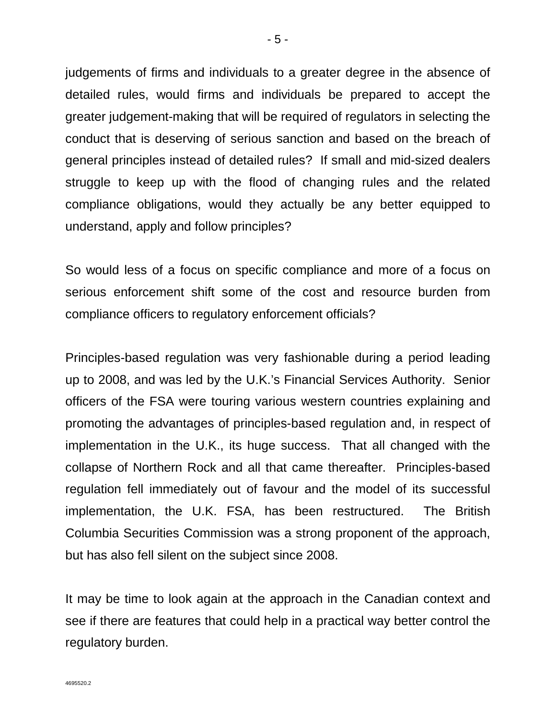judgements of firms and individuals to a greater degree in the absence of detailed rules, would firms and individuals be prepared to accept the greater judgement-making that will be required of regulators in selecting the conduct that is deserving of serious sanction and based on the breach of general principles instead of detailed rules? If small and mid-sized dealers struggle to keep up with the flood of changing rules and the related compliance obligations, would they actually be any better equipped to understand, apply and follow principles?

So would less of a focus on specific compliance and more of a focus on serious enforcement shift some of the cost and resource burden from compliance officers to regulatory enforcement officials?

Principles-based regulation was very fashionable during a period leading up to 2008, and was led by the U.K.'s Financial Services Authority. Senior officers of the FSA were touring various western countries explaining and promoting the advantages of principles-based regulation and, in respect of implementation in the U.K., its huge success. That all changed with the collapse of Northern Rock and all that came thereafter. Principles-based regulation fell immediately out of favour and the model of its successful implementation, the U.K. FSA, has been restructured. The British Columbia Securities Commission was a strong proponent of the approach, but has also fell silent on the subject since 2008.

It may be time to look again at the approach in the Canadian context and see if there are features that could help in a practical way better control the regulatory burden.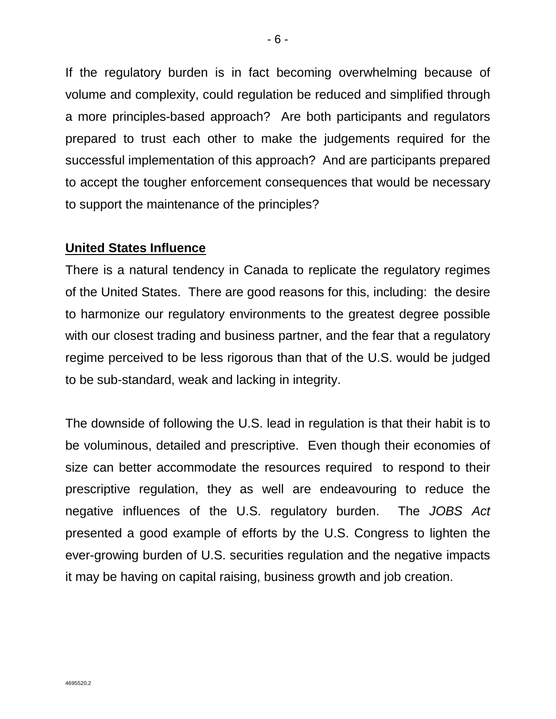If the regulatory burden is in fact becoming overwhelming because of volume and complexity, could regulation be reduced and simplified through a more principles-based approach? Are both participants and regulators prepared to trust each other to make the judgements required for the successful implementation of this approach? And are participants prepared to accept the tougher enforcement consequences that would be necessary to support the maintenance of the principles?

### **United States Influence**

There is a natural tendency in Canada to replicate the regulatory regimes of the United States. There are good reasons for this, including: the desire to harmonize our regulatory environments to the greatest degree possible with our closest trading and business partner, and the fear that a regulatory regime perceived to be less rigorous than that of the U.S. would be judged to be sub-standard, weak and lacking in integrity.

The downside of following the U.S. lead in regulation is that their habit is to be voluminous, detailed and prescriptive. Even though their economies of size can better accommodate the resources required to respond to their prescriptive regulation, they as well are endeavouring to reduce the negative influences of the U.S. regulatory burden. The *JOBS Act* presented a good example of efforts by the U.S. Congress to lighten the ever-growing burden of U.S. securities regulation and the negative impacts it may be having on capital raising, business growth and job creation.

4695520.2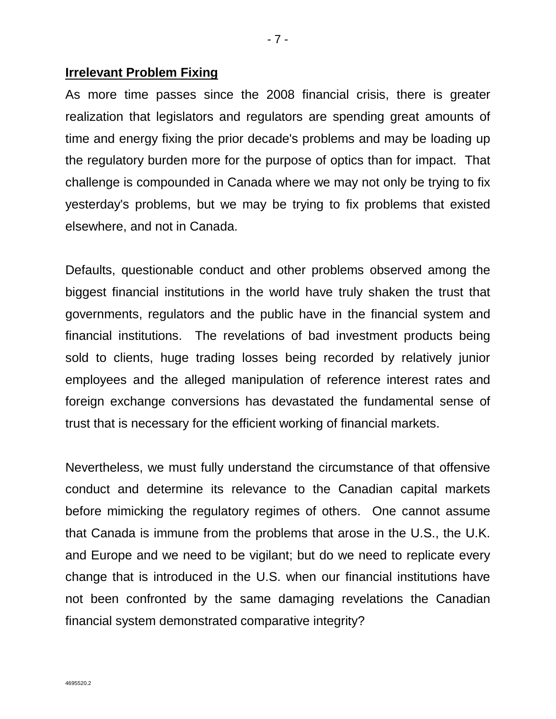#### **Irrelevant Problem Fixing**

As more time passes since the 2008 financial crisis, there is greater realization that legislators and regulators are spending great amounts of time and energy fixing the prior decade's problems and may be loading up the regulatory burden more for the purpose of optics than for impact. That challenge is compounded in Canada where we may not only be trying to fix yesterday's problems, but we may be trying to fix problems that existed elsewhere, and not in Canada.

Defaults, questionable conduct and other problems observed among the biggest financial institutions in the world have truly shaken the trust that governments, regulators and the public have in the financial system and financial institutions. The revelations of bad investment products being sold to clients, huge trading losses being recorded by relatively junior employees and the alleged manipulation of reference interest rates and foreign exchange conversions has devastated the fundamental sense of trust that is necessary for the efficient working of financial markets.

Nevertheless, we must fully understand the circumstance of that offensive conduct and determine its relevance to the Canadian capital markets before mimicking the regulatory regimes of others. One cannot assume that Canada is immune from the problems that arose in the U.S., the U.K. and Europe and we need to be vigilant; but do we need to replicate every change that is introduced in the U.S. when our financial institutions have not been confronted by the same damaging revelations the Canadian financial system demonstrated comparative integrity?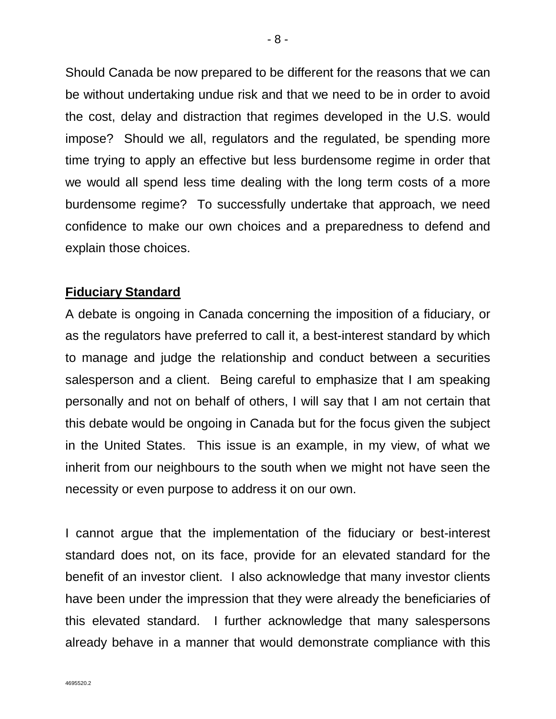Should Canada be now prepared to be different for the reasons that we can be without undertaking undue risk and that we need to be in order to avoid the cost, delay and distraction that regimes developed in the U.S. would impose? Should we all, regulators and the regulated, be spending more time trying to apply an effective but less burdensome regime in order that we would all spend less time dealing with the long term costs of a more burdensome regime? To successfully undertake that approach, we need confidence to make our own choices and a preparedness to defend and explain those choices.

## **Fiduciary Standard**

A debate is ongoing in Canada concerning the imposition of a fiduciary, or as the regulators have preferred to call it, a best-interest standard by which to manage and judge the relationship and conduct between a securities salesperson and a client. Being careful to emphasize that I am speaking personally and not on behalf of others, I will say that I am not certain that this debate would be ongoing in Canada but for the focus given the subject in the United States. This issue is an example, in my view, of what we inherit from our neighbours to the south when we might not have seen the necessity or even purpose to address it on our own.

I cannot argue that the implementation of the fiduciary or best-interest standard does not, on its face, provide for an elevated standard for the benefit of an investor client. I also acknowledge that many investor clients have been under the impression that they were already the beneficiaries of this elevated standard. I further acknowledge that many salespersons already behave in a manner that would demonstrate compliance with this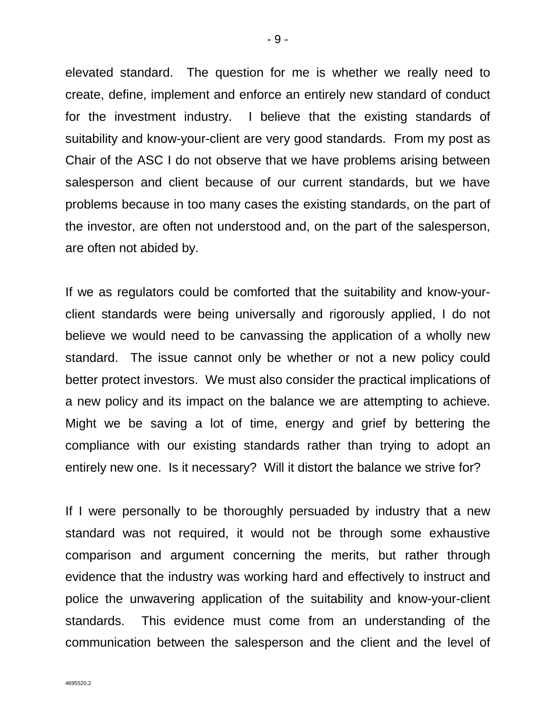elevated standard. The question for me is whether we really need to create, define, implement and enforce an entirely new standard of conduct for the investment industry. I believe that the existing standards of suitability and know-your-client are very good standards. From my post as Chair of the ASC I do not observe that we have problems arising between salesperson and client because of our current standards, but we have problems because in too many cases the existing standards, on the part of the investor, are often not understood and, on the part of the salesperson, are often not abided by.

If we as regulators could be comforted that the suitability and know-yourclient standards were being universally and rigorously applied, I do not believe we would need to be canvassing the application of a wholly new standard. The issue cannot only be whether or not a new policy could better protect investors. We must also consider the practical implications of a new policy and its impact on the balance we are attempting to achieve. Might we be saving a lot of time, energy and grief by bettering the compliance with our existing standards rather than trying to adopt an entirely new one. Is it necessary? Will it distort the balance we strive for?

If I were personally to be thoroughly persuaded by industry that a new standard was not required, it would not be through some exhaustive comparison and argument concerning the merits, but rather through evidence that the industry was working hard and effectively to instruct and police the unwavering application of the suitability and know-your-client standards. This evidence must come from an understanding of the communication between the salesperson and the client and the level of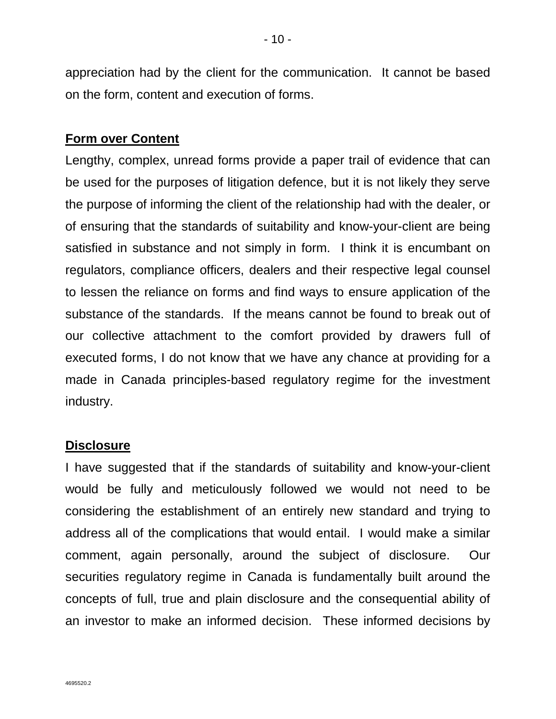appreciation had by the client for the communication. It cannot be based on the form, content and execution of forms.

# **Form over Content**

Lengthy, complex, unread forms provide a paper trail of evidence that can be used for the purposes of litigation defence, but it is not likely they serve the purpose of informing the client of the relationship had with the dealer, or of ensuring that the standards of suitability and know-your-client are being satisfied in substance and not simply in form. I think it is encumbant on regulators, compliance officers, dealers and their respective legal counsel to lessen the reliance on forms and find ways to ensure application of the substance of the standards. If the means cannot be found to break out of our collective attachment to the comfort provided by drawers full of executed forms, I do not know that we have any chance at providing for a made in Canada principles-based regulatory regime for the investment industry.

## **Disclosure**

I have suggested that if the standards of suitability and know-your-client would be fully and meticulously followed we would not need to be considering the establishment of an entirely new standard and trying to address all of the complications that would entail. I would make a similar comment, again personally, around the subject of disclosure. Our securities regulatory regime in Canada is fundamentally built around the concepts of full, true and plain disclosure and the consequential ability of an investor to make an informed decision. These informed decisions by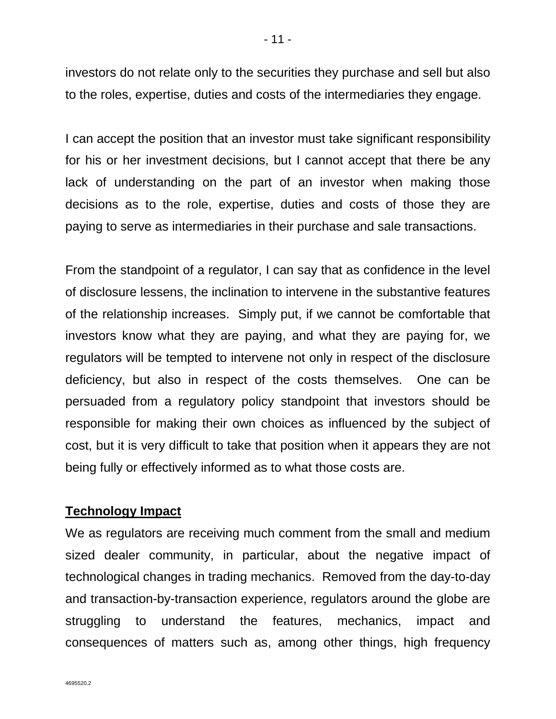investors do not relate only to the securities they purchase and sell but also to the roles, expertise, duties and costs of the intermediaries they engage.

I can accept the position that an investor must take significant responsibility for his or her investment decisions, but I cannot accept that there be any lack of understanding on the part of an investor when making those decisions as to the role, expertise, duties and costs of those they are paying to serve as intermediaries in their purchase and sale transactions.

From the standpoint of a regulator, I can say that as confidence in the level of disclosure lessens, the inclination to intervene in the substantive features of the relationship increases. Simply put, if we cannot be comfortable that investors know what they are paying, and what they are paying for, we regulators will be tempted to intervene not only in respect of the disclosure deficiency, but also in respect of the costs themselves. One can be persuaded from a regulatory policy standpoint that investors should be responsible for making their own choices as influenced by the subject of cost, but it is very difficult to take that position when it appears they are not being fully or effectively informed as to what those costs are.

# **Technology Impact**

We as regulators are receiving much comment from the small and medium sized dealer community, in particular, about the negative impact of technological changes in trading mechanics. Removed from the day-to-day and transaction-by-transaction experience, regulators around the globe are struggling to understand the features, mechanics, impact and consequences of matters such as, among other things, high frequency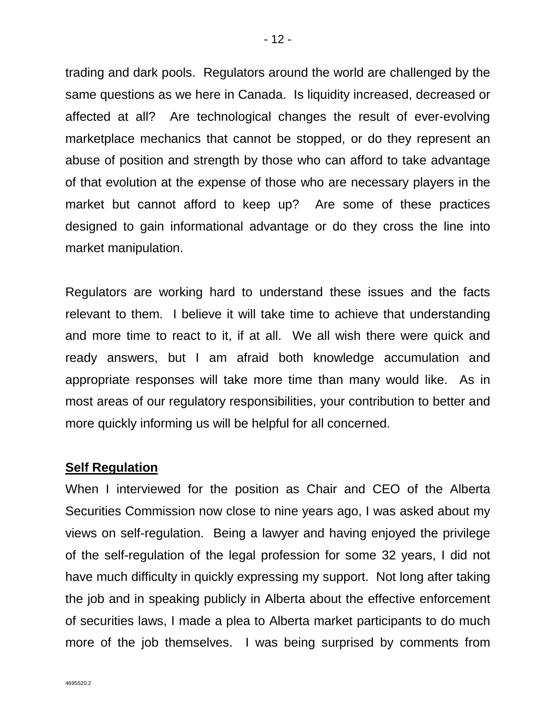trading and dark pools. Regulators around the world are challenged by the same questions as we here in Canada. Is liquidity increased, decreased or affected at all? Are technological changes the result of ever-evolving marketplace mechanics that cannot be stopped, or do they represent an abuse of position and strength by those who can afford to take advantage of that evolution at the expense of those who are necessary players in the market but cannot afford to keep up? Are some of these practices designed to gain informational advantage or do they cross the line into market manipulation.

Regulators are working hard to understand these issues and the facts relevant to them. I believe it will take time to achieve that understanding and more time to react to it, if at all. We all wish there were quick and ready answers, but I am afraid both knowledge accumulation and appropriate responses will take more time than many would like. As in most areas of our regulatory responsibilities, your contribution to better and more quickly informing us will be helpful for all concerned.

## **Self Regulation**

When I interviewed for the position as Chair and CEO of the Alberta Securities Commission now close to nine years ago, I was asked about my views on self-regulation. Being a lawyer and having enjoyed the privilege of the self-regulation of the legal profession for some 32 years, I did not have much difficulty in quickly expressing my support. Not long after taking the job and in speaking publicly in Alberta about the effective enforcement of securities laws, I made a plea to Alberta market participants to do much more of the job themselves. I was being surprised by comments from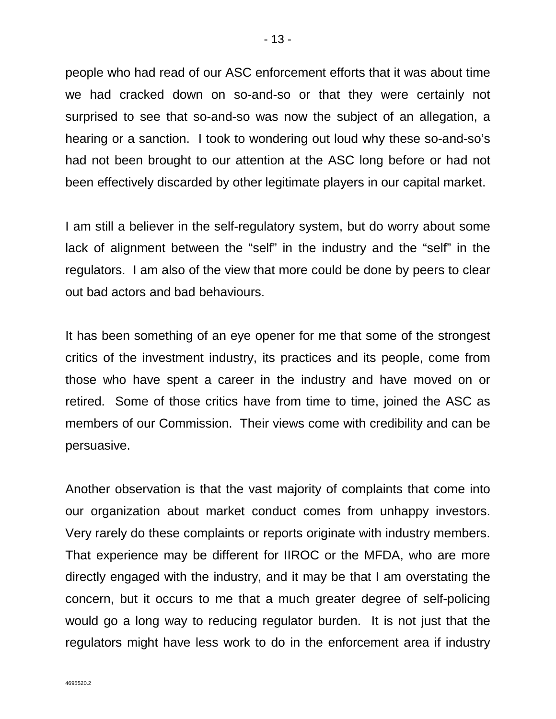people who had read of our ASC enforcement efforts that it was about time we had cracked down on so-and-so or that they were certainly not surprised to see that so-and-so was now the subject of an allegation, a hearing or a sanction. I took to wondering out loud why these so-and-so's had not been brought to our attention at the ASC long before or had not been effectively discarded by other legitimate players in our capital market.

I am still a believer in the self-regulatory system, but do worry about some lack of alignment between the "self" in the industry and the "self" in the regulators. I am also of the view that more could be done by peers to clear out bad actors and bad behaviours.

It has been something of an eye opener for me that some of the strongest critics of the investment industry, its practices and its people, come from those who have spent a career in the industry and have moved on or retired. Some of those critics have from time to time, joined the ASC as members of our Commission. Their views come with credibility and can be persuasive.

Another observation is that the vast majority of complaints that come into our organization about market conduct comes from unhappy investors. Very rarely do these complaints or reports originate with industry members. That experience may be different for IIROC or the MFDA, who are more directly engaged with the industry, and it may be that I am overstating the concern, but it occurs to me that a much greater degree of self-policing would go a long way to reducing regulator burden. It is not just that the regulators might have less work to do in the enforcement area if industry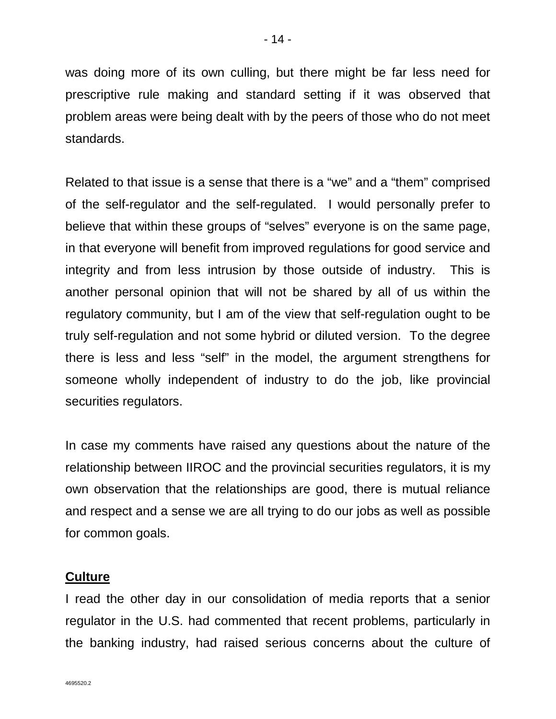- 14 -

was doing more of its own culling, but there might be far less need for prescriptive rule making and standard setting if it was observed that problem areas were being dealt with by the peers of those who do not meet standards.

Related to that issue is a sense that there is a "we" and a "them" comprised of the self-regulator and the self-regulated. I would personally prefer to believe that within these groups of "selves" everyone is on the same page, in that everyone will benefit from improved regulations for good service and integrity and from less intrusion by those outside of industry. This is another personal opinion that will not be shared by all of us within the regulatory community, but I am of the view that self-regulation ought to be truly self-regulation and not some hybrid or diluted version. To the degree there is less and less "self" in the model, the argument strengthens for someone wholly independent of industry to do the job, like provincial securities regulators.

In case my comments have raised any questions about the nature of the relationship between IIROC and the provincial securities regulators, it is my own observation that the relationships are good, there is mutual reliance and respect and a sense we are all trying to do our jobs as well as possible for common goals.

### **Culture**

I read the other day in our consolidation of media reports that a senior regulator in the U.S. had commented that recent problems, particularly in the banking industry, had raised serious concerns about the culture of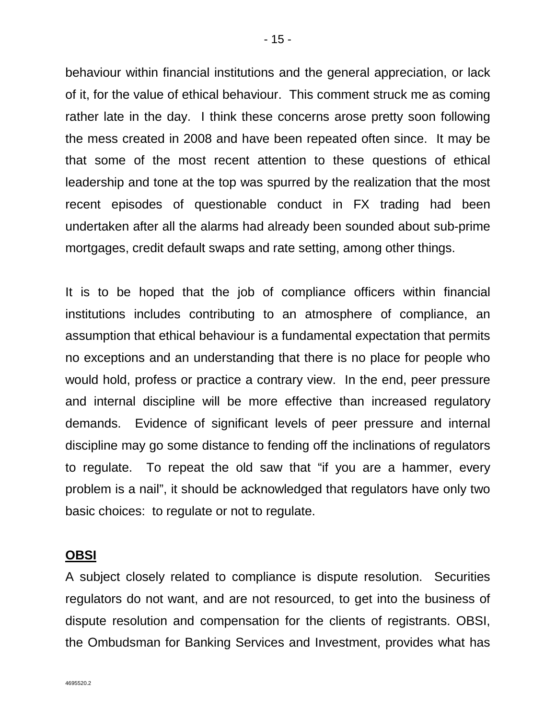behaviour within financial institutions and the general appreciation, or lack of it, for the value of ethical behaviour. This comment struck me as coming rather late in the day. I think these concerns arose pretty soon following the mess created in 2008 and have been repeated often since. It may be that some of the most recent attention to these questions of ethical leadership and tone at the top was spurred by the realization that the most recent episodes of questionable conduct in FX trading had been undertaken after all the alarms had already been sounded about sub-prime mortgages, credit default swaps and rate setting, among other things.

It is to be hoped that the job of compliance officers within financial institutions includes contributing to an atmosphere of compliance, an assumption that ethical behaviour is a fundamental expectation that permits no exceptions and an understanding that there is no place for people who would hold, profess or practice a contrary view. In the end, peer pressure and internal discipline will be more effective than increased regulatory demands. Evidence of significant levels of peer pressure and internal discipline may go some distance to fending off the inclinations of regulators to regulate. To repeat the old saw that "if you are a hammer, every problem is a nail", it should be acknowledged that regulators have only two basic choices: to regulate or not to regulate.

### **OBSI**

A subject closely related to compliance is dispute resolution. Securities regulators do not want, and are not resourced, to get into the business of dispute resolution and compensation for the clients of registrants. OBSI, the Ombudsman for Banking Services and Investment, provides what has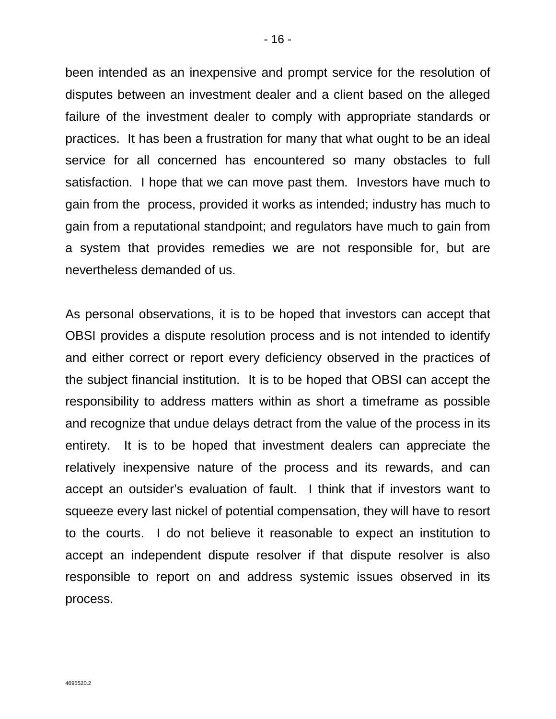been intended as an inexpensive and prompt service for the resolution of disputes between an investment dealer and a client based on the alleged failure of the investment dealer to comply with appropriate standards or practices. It has been a frustration for many that what ought to be an ideal service for all concerned has encountered so many obstacles to full satisfaction. I hope that we can move past them. Investors have much to gain from the process, provided it works as intended; industry has much to gain from a reputational standpoint; and regulators have much to gain from a system that provides remedies we are not responsible for, but are nevertheless demanded of us.

As personal observations, it is to be hoped that investors can accept that OBSI provides a dispute resolution process and is not intended to identify and either correct or report every deficiency observed in the practices of the subject financial institution. It is to be hoped that OBSI can accept the responsibility to address matters within as short a timeframe as possible and recognize that undue delays detract from the value of the process in its entirety. It is to be hoped that investment dealers can appreciate the relatively inexpensive nature of the process and its rewards, and can accept an outsider's evaluation of fault. I think that if investors want to squeeze every last nickel of potential compensation, they will have to resort to the courts. I do not believe it reasonable to expect an institution to accept an independent dispute resolver if that dispute resolver is also responsible to report on and address systemic issues observed in its process.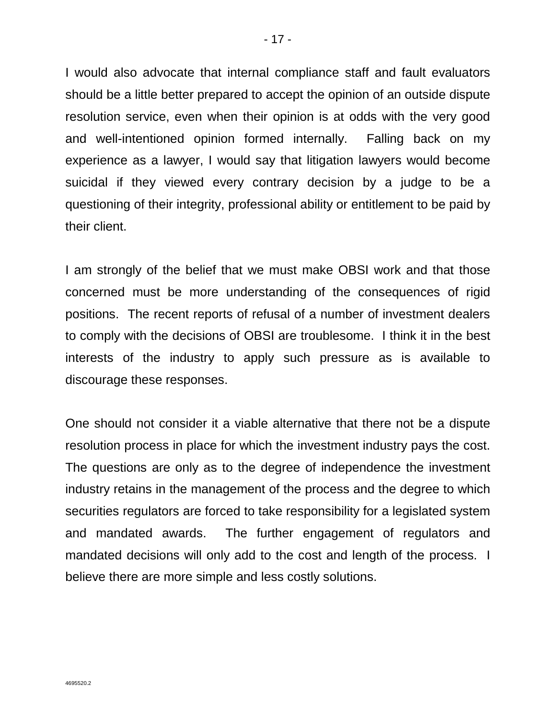I would also advocate that internal compliance staff and fault evaluators should be a little better prepared to accept the opinion of an outside dispute resolution service, even when their opinion is at odds with the very good and well-intentioned opinion formed internally. Falling back on my experience as a lawyer, I would say that litigation lawyers would become suicidal if they viewed every contrary decision by a judge to be a questioning of their integrity, professional ability or entitlement to be paid by their client.

I am strongly of the belief that we must make OBSI work and that those concerned must be more understanding of the consequences of rigid positions. The recent reports of refusal of a number of investment dealers to comply with the decisions of OBSI are troublesome. I think it in the best interests of the industry to apply such pressure as is available to discourage these responses.

One should not consider it a viable alternative that there not be a dispute resolution process in place for which the investment industry pays the cost. The questions are only as to the degree of independence the investment industry retains in the management of the process and the degree to which securities regulators are forced to take responsibility for a legislated system and mandated awards. The further engagement of regulators and mandated decisions will only add to the cost and length of the process. I believe there are more simple and less costly solutions.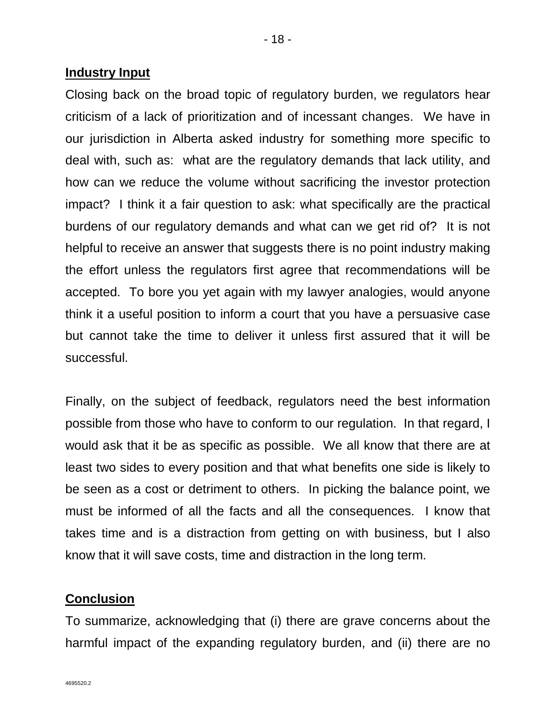### **Industry Input**

Closing back on the broad topic of regulatory burden, we regulators hear criticism of a lack of prioritization and of incessant changes. We have in our jurisdiction in Alberta asked industry for something more specific to deal with, such as: what are the regulatory demands that lack utility, and how can we reduce the volume without sacrificing the investor protection impact? I think it a fair question to ask: what specifically are the practical burdens of our regulatory demands and what can we get rid of? It is not helpful to receive an answer that suggests there is no point industry making the effort unless the regulators first agree that recommendations will be accepted. To bore you yet again with my lawyer analogies, would anyone think it a useful position to inform a court that you have a persuasive case but cannot take the time to deliver it unless first assured that it will be successful.

Finally, on the subject of feedback, regulators need the best information possible from those who have to conform to our regulation. In that regard, I would ask that it be as specific as possible. We all know that there are at least two sides to every position and that what benefits one side is likely to be seen as a cost or detriment to others. In picking the balance point, we must be informed of all the facts and all the consequences. I know that takes time and is a distraction from getting on with business, but I also know that it will save costs, time and distraction in the long term.

## **Conclusion**

To summarize, acknowledging that (i) there are grave concerns about the harmful impact of the expanding regulatory burden, and (ii) there are no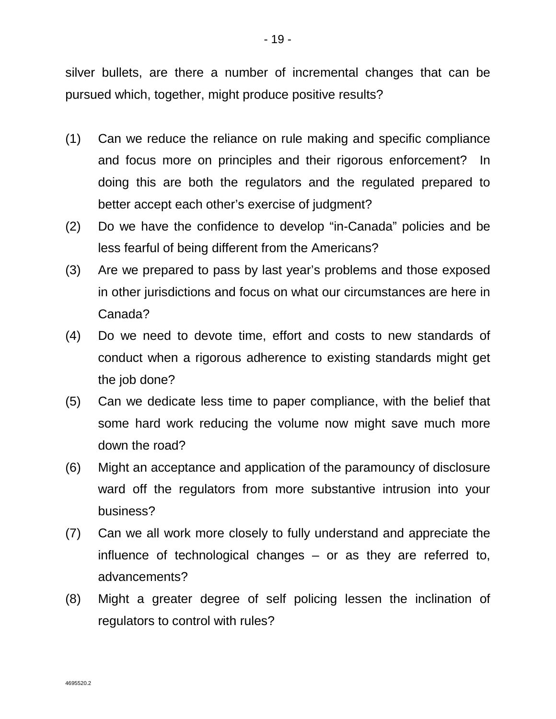silver bullets, are there a number of incremental changes that can be pursued which, together, might produce positive results?

- (1) Can we reduce the reliance on rule making and specific compliance and focus more on principles and their rigorous enforcement? In doing this are both the regulators and the regulated prepared to better accept each other's exercise of judgment?
- (2) Do we have the confidence to develop "in-Canada" policies and be less fearful of being different from the Americans?
- (3) Are we prepared to pass by last year's problems and those exposed in other jurisdictions and focus on what our circumstances are here in Canada?
- (4) Do we need to devote time, effort and costs to new standards of conduct when a rigorous adherence to existing standards might get the job done?
- (5) Can we dedicate less time to paper compliance, with the belief that some hard work reducing the volume now might save much more down the road?
- (6) Might an acceptance and application of the paramouncy of disclosure ward off the regulators from more substantive intrusion into your business?
- (7) Can we all work more closely to fully understand and appreciate the influence of technological changes – or as they are referred to, advancements?
- (8) Might a greater degree of self policing lessen the inclination of regulators to control with rules?